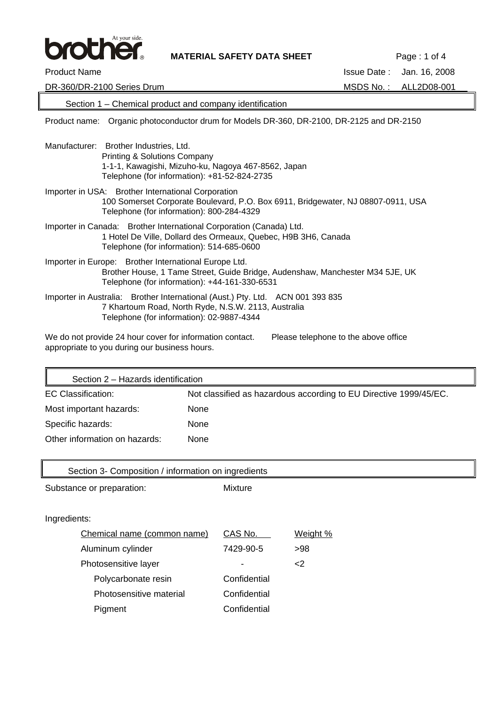

**MATERIAL SAFETY DATA SHEET** Page : 1 of 4

| <b>Product Name</b>                                                                                                                                                                      | <b>Issue Date:</b><br>Jan. 16, 2008  |
|------------------------------------------------------------------------------------------------------------------------------------------------------------------------------------------|--------------------------------------|
| DR-360/DR-2100 Series Drum                                                                                                                                                               | MSDS No.:<br>ALL2D08-001             |
| Section 1 – Chemical product and company identification                                                                                                                                  |                                      |
| Organic photoconductor drum for Models DR-360, DR-2100, DR-2125 and DR-2150<br>Product name:                                                                                             |                                      |
| Manufacturer: Brother Industries, Ltd.<br><b>Printing &amp; Solutions Company</b><br>1-1-1, Kawagishi, Mizuho-ku, Nagoya 467-8562, Japan<br>Telephone (for information): +81-52-824-2735 |                                      |
| Importer in USA: Brother International Corporation<br>100 Somerset Corporate Boulevard, P.O. Box 6911, Bridgewater, NJ 08807-0911, USA<br>Telephone (for information): 800-284-4329      |                                      |
| Importer in Canada: Brother International Corporation (Canada) Ltd.<br>1 Hotel De Ville, Dollard des Ormeaux, Quebec, H9B 3H6, Canada<br>Telephone (for information): 514-685-0600       |                                      |
| Importer in Europe: Brother International Europe Ltd.<br>Brother House, 1 Tame Street, Guide Bridge, Audenshaw, Manchester M34 5JE, UK<br>Telephone (for information): +44-161-330-6531  |                                      |
| Importer in Australia: Brother International (Aust.) Pty. Ltd. ACN 001 393 835<br>7 Khartoum Road, North Ryde, N.S.W. 2113, Australia<br>Telephone (for information): 02-9887-4344       |                                      |
| We do not provide 24 hour cover for information contact.<br>appropriate to you during our business hours.                                                                                | Please telephone to the above office |

| Section 2 - Hazards identification |                                                                   |  |
|------------------------------------|-------------------------------------------------------------------|--|
| EC Classification:                 | Not classified as hazardous according to EU Directive 1999/45/EC. |  |
| Most important hazards:            | <b>None</b>                                                       |  |
| Specific hazards:                  | <b>None</b>                                                       |  |
| Other information on hazards:      | <b>None</b>                                                       |  |

| Section 3- Composition / information on ingredients |              |          |
|-----------------------------------------------------|--------------|----------|
| Substance or preparation:                           | Mixture      |          |
|                                                     |              |          |
| Ingredients:                                        |              |          |
| Chemical name (common name)                         | CAS No.      | Weight % |
| Aluminum cylinder                                   | 7429-90-5    | >98      |
| Photosensitive layer                                |              | $<$ 2    |
| Polycarbonate resin                                 | Confidential |          |
| Photosensitive material                             | Confidential |          |
| Pigment                                             | Confidential |          |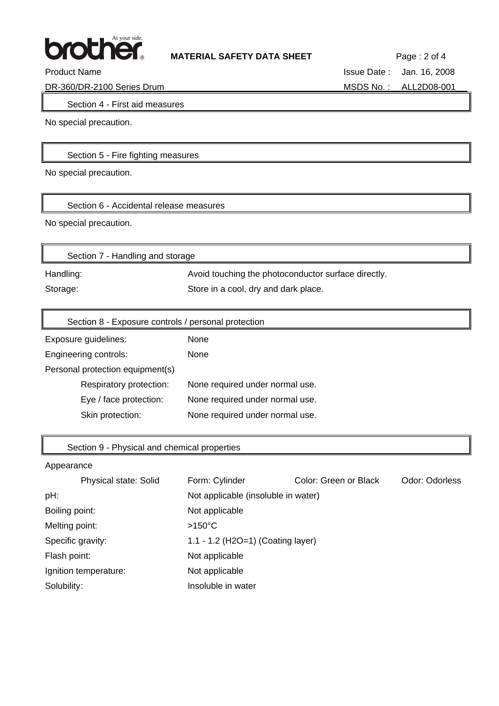

Product Name **Issue Date :** Jan. 16, 2008

DR-360/DR-2100 Series Drum MSDS No.: ALL2D08-001

Section 4 - First aid measures

No special precaution.

## Section 5 - Fire fighting measures

No special precaution.

Section 6 - Accidental release measures

No special precaution.

| Section 7 - Handling and storage |                                                     |
|----------------------------------|-----------------------------------------------------|
| Handling:                        | Avoid touching the photoconductor surface directly. |
| Storage:                         | Store in a cool, dry and dark place.                |

| Section 8 - Exposure controls / personal protection |                                 |  |
|-----------------------------------------------------|---------------------------------|--|
| Exposure guidelines:                                | <b>None</b>                     |  |
| Engineering controls:                               | None                            |  |
| Personal protection equipment(s)                    |                                 |  |
| Respiratory protection:                             | None required under normal use. |  |
| Eye / face protection:                              | None required under normal use. |  |
| Skin protection:                                    | None required under normal use. |  |

### Section 9 - Physical and chemical properties

| Physical state: Solid | Form: Cylinder                      | Color: Green or Black | Odor: Odorless |
|-----------------------|-------------------------------------|-----------------------|----------------|
| pH:                   | Not applicable (insoluble in water) |                       |                |
| Boiling point:        | Not applicable                      |                       |                |
| Melting point:        | $>150^{\circ}$ C                    |                       |                |
| Specific gravity:     | 1.1 - 1.2 (H2O=1) (Coating layer)   |                       |                |
| Flash point:          | Not applicable                      |                       |                |
| Ignition temperature: | Not applicable                      |                       |                |
| Solubility:           | Insoluble in water                  |                       |                |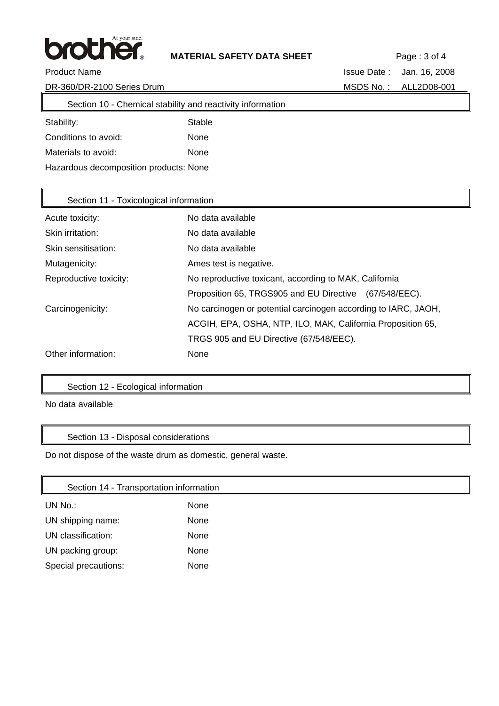

 $\overline{\mathbf{u}}$ 

Product Name **Issue Date :** Jan. 16, 2008

DR-360/DR-2100 Series Drum MSDS No.: ALL2D08-001

| Section 10 - Chemical stability and reactivity information |        |  |  |
|------------------------------------------------------------|--------|--|--|
| Stability:                                                 | Stable |  |  |
| Conditions to avoid:                                       | None   |  |  |
| Materials to avoid:                                        | None   |  |  |
| Hazardous decomposition products: None                     |        |  |  |

| Section 11 - Toxicological information |                                                                |  |
|----------------------------------------|----------------------------------------------------------------|--|
| Acute toxicity:                        | No data available                                              |  |
| Skin irritation:                       | No data available                                              |  |
| Skin sensitisation:                    | No data available                                              |  |
| Mutagenicity:                          | Ames test is negative.                                         |  |
| Reproductive toxicity:                 | No reproductive toxicant, according to MAK, California         |  |
|                                        | Proposition 65, TRGS905 and EU Directive (67/548/EEC).         |  |
| Carcinogenicity:                       | No carcinogen or potential carcinogen according to IARC, JAOH, |  |
|                                        | ACGIH, EPA, OSHA, NTP, ILO, MAK, California Proposition 65,    |  |
|                                        | TRGS 905 and EU Directive (67/548/EEC).                        |  |
| Other information:                     | None                                                           |  |

### Section 12 - Ecological information

No data available

 $\mathbf{r}$ 

# Section 13 - Disposal considerations

Do not dispose of the waste drum as domestic, general waste.

| Section 14 - Transportation information |      |
|-----------------------------------------|------|
| UN No.:                                 | None |
| UN shipping name:                       | None |
| UN classification:                      | None |
| UN packing group:                       | None |
| Special precautions:                    | None |